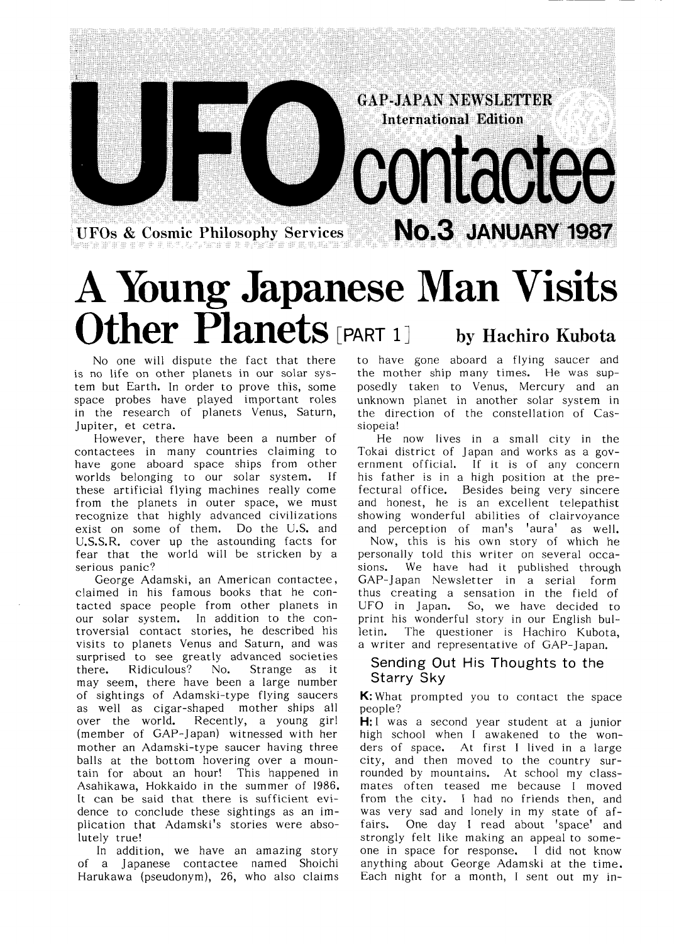**UFOs & Cosmic Philosophy Services** 

# **A Young Japanese Man Visits** Other Planets [PART 1] by Hachiro Kubota

No one will dispute the fact that there is no life on other planets in our solar system but Earth. In order to prove this, some space probes have played important roles in the research of planets Venus, Saturn, Jupiter, et cetra.

However, there have been a number of contactees in many countries claiming to have gone aboard space ships from other worlds belonging to our solar system. If these artificial flying machines really come from the planets in outer space, we must recognize that highly advanced civilizations exist on some of them. Do the U.S. and U.S.S.R. cover up the astounding facts for fear that the world will be stricken by a serious panic?

George Adamski, an American contactee, claimed in his famous books that he contacted space people from other planets in our solar system. In addition to the controversial contact stories, he described his visits to planets Venus and Saturn, and was surprised to see greatly advanced societies Ridiculous? No. Strange as it there. may seem, there have been a large number of sightings of Adamski-type flying saucers as well as cigar-shaped mother ships all over the world. Recently, a young girl (member of GAP-Japan) witnessed with her mother an Adamski-type saucer having three balls at the bottom hovering over a mountain for about an hour! This happened in Asahikawa, Hokkaido in the summer of 1986. It can be said that there is sufficient evidence to conclude these sightings as an implication that Adamski's stories were absolutely true!

In addition, we have an amazing story of a Japanese contactee named Shoichi Harukawa (pseudonym), 26, who also claims to have gone aboard a flying saucer and the mother ship many times. He was supposedly taken to Venus, Mercury and an unknown planet in another solar system in the direction of the constellation of Cassiopeia!

**GAP-JAPAN NEWSLETTER International Edition** 

CONTactee

No.3 JANUARY 1987

He now lives in a small city in the Tokai district of Japan and works as a government official. If it is of any concern his father is in a high position at the prefectural office. Besides being very sincere and honest, he is an excellent telepathist showing wonderful abilities of clairvoyance

and perception of man's 'autre's sell.<br>Now, this is his own story of which he personally told this writer on several occasions. We have had it published through GAP-Japan Newsletter in a serial form thus creating a sensation in the field of UFO in Japan. So, we have decided to print his wonderful story in our English bulletin. The questioner is Hachiro Kubota, a writer and representative of GAP-Japan.

#### Sending Out His Thoughts to the Starry Sky

K: What prompted you to contact the space people?

 $H: I$  was a second year student at a junior high school when I awakened to the wonders of space. At first I lived in a large city, and then moved to the country surrounded by mountains. At school my classmates often teased me because I moved from the city. I had no friends then, and was very sad and lonely in my state of affairs. One day I read about 'space' and strongly felt like making an appeal to someone in space for response. I did not know anything about George Adamski at the time. Each night for a month, I sent out my in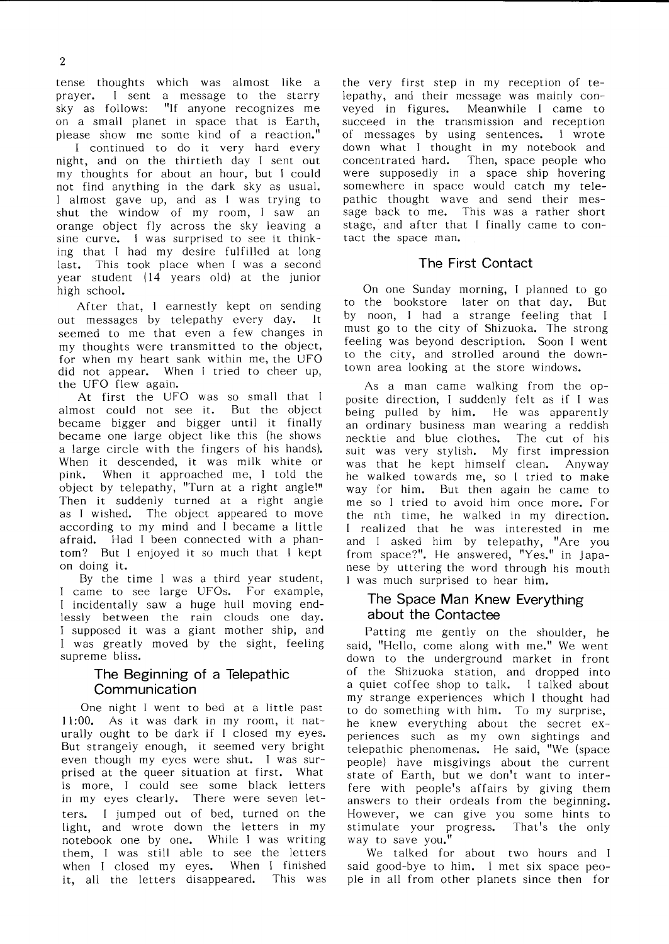tense thoughts which was almost like a prayer. I sent a message to the starry<br>sky as follows: "If anyone recognizes me "If anyone recognizes me on a small planet in space that is Earth, please show me some kind of a reaction."

I continued to do it very hard every night, and on the thirtieth dav I sent out my thoughts for about an hour, but I could not find anything in the dark sky as usual. I almost gave up, and as I was trying to shut the window of my room, I saw an orange object fly across the sky leaving a sine curve. I was surprised to see it thinking that I had my desire fulfilled at long last. This took place when I was a second year student  $(14 \text{ years old})$  at the junior high school.

After that, I earnestly kept on sending out messages by telepathy every day. It seemed to me that even a few changes in my thoughts were transmitted to the object, for when my heart sank within me,the UFO did not appear. When I tried to cheer up, the UFO flew again.

At first the UFO was so small that I almost could not see it. But the object became bigger and bigger until it finally became one large object like this (he shows a large circle with the fingers of his hands). When it descended, it was milk white or pink. When it approached me, I told the object by telepathy, "Turn at a right angle!" Then it suddenly turned at a right angle as I wished. The object appeared to move according to my mind and I became a little afraid. Had I been connected with a phantom? But I enjoyed it so much that I kept on doing it.

By the time I was a third year student, I came to see large UFOs. For example, I incidentally saw a huge hull moving end-1essly between the rain clouds one day. I supposed it was a giant mother ship, and I was greatly moved by the sight, feeling supreme bliss.

#### The Beginning of a Telepathic Communication

One night I went to bed at a little past 11:00. As it was dark in my room, it naturally ought to be dark if I closed my eyes. But strangely enough, it seemed very bright even though my eyes were shut. I was surprised at the queer situation at first. What is more, I could see some black letters in my eyes clearly. There were seven letters. I jumped out of bed, turned on the light, and wrote down the letters in my notebook one by one. While I was writing them, I was still able to see the letters when I closed my eyes. When I finished it, all the letters disappeared. This was the very first step in my reception of telepathy, and their message was mainly conveyed in figures. Meanwhile I came to succeed in the transmission and reception of messages by using sentences. I wrote down what I thought in my notebook and concentrated hard. Then, space people who were supposedly in a space ship hovering somewhere in space would catch my tele-Pathic thought wave and send their mes sage back to me. This was a rather short stage, and after that I finally came to contact the space man.

#### The First Contact

On one Sunday morning, I planned to go to the bookstore later on that day. But by noon, I had a strange feeling that I must go to the city of Shizuoka. The strong feeling was beyond description. Soon I went to the city, and strolled around the downtown area looking at the store windows.

As a man came walking from the op posite direction, I suddenly felt as if I was being pulled by him. He was apparently an ordinary business man wearing a reddish necktie and blue clothes. The cut of his suit was very stylish. My first impression WaS that he kept himself clean. Anyway he walked towards me, so I tried to make way for him. But then again he came to me so I tried to avoid him once more. For the nth time, he walked in my direction. l realized that he was interested in me and I asked him by telepathy, "Are you from space?". He answered, "Yes." in Japanese by uttering the word through his mouth Iwas much surprised to hear him.

#### The Space Man Knew Everything about the Contactee

Patting me gently on the shoulder, he said, "Hello, come along with me." We went down to the underground market in front of the Shizuoka station, and dropped into a quiet coffee shop to talk. I talked about my strange experiences which I thought had to do something with him. To my surprise, he knew everything about the secret experiences such as my own sighti telepathic phenomenas. He said,"We (spac people) have misgivings about the current state of Earth, but we don't want to interfere with people's affairs by giving them answers to their ordeals from the beginning. However, we can give you some hints to stimulate your progress. That's the only way to save you."

We talked for about two hours and I said good-bye to him. I met six space people in all from other planets since then for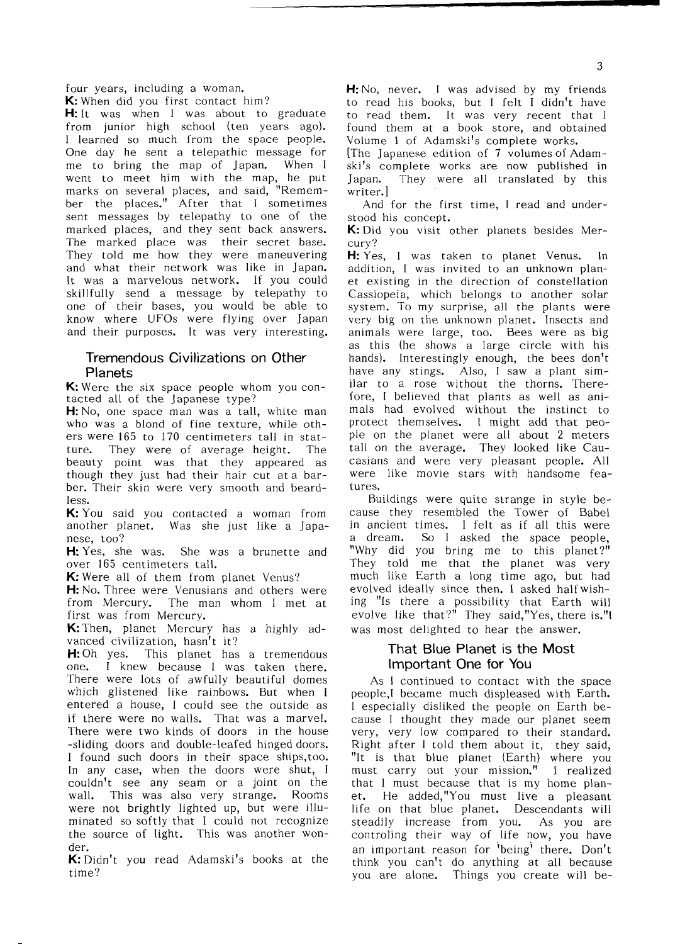four years, including a woman. K:When did you first contact him?

H: It was when I was about to graduate from junior high school (ten years ago). I learned so much from the space people. One day he sent a telepathic message for me to bring the map of Japan. When I went to meet him with the map, he put marks on several places, and said, "Remember the places." After that I sometimes sent messages by telepathy to one of the marked places, and they sent back answers. The marked place was their secret base. They told me how they were maneuvering and what their network was like in Japan. It was a marvelous network. If you could skillfully send a message by telepathy to one of their bases, you would be able to know where UFOs were flying over Japan and their purposes. It was very interesting.

#### Tremendous Civilizations on Other Planets

K: Were the six space people whom you contacted all of the Japanese type?

H: No, one space man was a tall, white man who was a blond of fine texture, while others were 165 to 170 centimeters tall in statture. They were of average height. The beauty point was that they appeared as though they just had their hair cut ata bar ber. Their skin were very smooth and beard-1ess.

K: You said you contacted a woman from another planet. Was she just like a Japanese, too?

H: Yes, she was. She was a brunette and over 165 centimeters tall.

K: Were all of them from planet Venus?

H: No. Three were Venusians and others were from Mercury. The man whom I met at first was from Mercury.

K: Then, planet Mercury has a highly advanced civilization, hasn't it?

H: Oh yes. This planet has a tremendous one. I knew because I was taken there. There were lots of awfully beautiful domes which glistened like rainbows. But when I entered a house, I could see the outside as if there were no walls. That was a marvel. There were two kinds of doors in the house -sliding doors and double-leafed hinged doors. I found such doors in their space ships,too. In any case, when the doors were shut, I couldn't see any seam or a joint on the Wall. This was also very strange. Rooms were not brightly lighted up, but were illuminated so softly that I could not recognize the source of light. This was another wonder.

K: Didn't you read Adamski's books at the time?

H: No, never. I was advised by my friends to read his books, but I felt I didn't have to read them. It was very recent that I found them at a book store, and obtained Volume 1 of Adamski's complete works.

The Japanese edition of 7 volumes of Adamski's complete works are now published in Japan. They were all translated by this writer.】

And for the first time, I read and understood his concept.

K:Did you visit other planets besides Mer- Cury?

H: Yes, I was taken to planet Venus. In addition. I was invited to an unknown planet existing in the direction of constellation Cassiopeia, which belongs to another solar system. To my surprise, all the plants were very big on the unknown planet. Insects and animals were large, too. Bees were as big as this (he shows a large circle with his hands). Interestingly enough, the bees don't have any stings. Also, I saw a plant similar to a rose without the thorns. Therefore, I believed that plants as well as animals had evolved without the instinct to protect themselves. I might add that people on the planet were all about 2 meters tall on the average. They looked like Caucasians and were very pleasant people. All Were like movie stars with handsome fea tures.

Buildings were quite strange in style because they resembled the Tower of Babel in ancient times. I felt as if all this were a dream. So I asked the space people, "Why did you bring me to this planet?" They told me that the planet was very much like Earth a long time ago, but had evolved ideally since then. I asked halfwishing "Is there a possibility that Earth will evolve like that?" They said,"Yes, there is."I was most delighted to hear the answer.

#### That Blue Planet is the Most lmportant One for You

As I continued to contact with the space people,I became much displeased with Earth. Iespecially disliked the people on Earth be cause I thought they made our planet seem very, very low compared to their standard. Right after I told them about it, they said, "It is that blue planet (Earth) where you must carry out your mission." I realized that I must because that is my home planet. He added,"You must live a pleasant life on that blue planet. Descendants will steadily increase from you. As you are controling their way of life now, you have an important reason for 'being' there. Don't think you  $can't$  do anything at all because you are alone. Things you create will be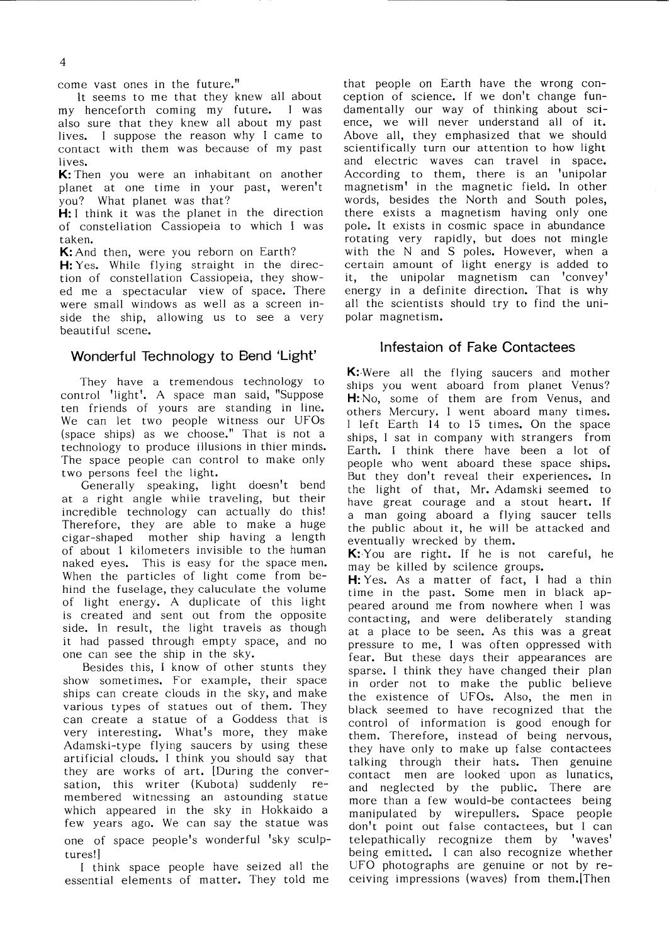come vast ones in the future."

It seems to me that they knew all about my henceforth coming my future. I was also sure that they knew all about my past lives. I suppose the reason why I came to contact with them was because of my past lives.

K: Then you were an inhabitant on another planet at one time in your past, weren't you? What planet was that?

H: I think it was the planet in the direction of constellation Cassiopeia to which I was 亡aken.

K: And then, were you reborn on Earth?

H: Yes. While flying straight in the direction of constellation Cassiopeia, they showed me a spectacular view of space. There were small windows as well as a screen inside the ship, allowing us to see a very beautiful scene.

#### Wonderful Technology to Bend 'Light'

They have a tremendous technology to control 'light'. A space man said, "Suppose ten friends of yours are standing in line. We can let two people witness our UFOs (space ships) as we choose." That is not a technology to produce illusions in thier minds. The space people can control to make only

two persons feel the light.<br>Generally speaking, light doesn't bend at a right angle while traveling, but their incredible technology can actually do this! Therefore, they are able to make a huge cigar-shaped mother ship having a length of about 1 kilometers invisible to the human naked eyes. This is easy for the space men. When the particles of light come from behind the fuselage, they caluculate the volume of light energy. A duplicate of this light is created and sent out from the opposite side. In result, the light travels as though it had passed through empty space, and no one can see the ship in the sky.

Besides this, I know of other stunts they show sometimes. For example, their space ships can create clouds in the sky, and make various types of statues out of them. They can create a statue of a Goddess that is very interesting. What's more, they make Adamski-type flying saucers by using these artificial clouds. I think you should say that they are works of art. [During the conversation, this writer (Kubota) suddenly remembered witnessing an astounding statue which appeared in the sky in Hokkaido a few years ago.We can say the statue was one of space people's wonderful 'sky sculptures!]

I think space people have seized all the essential elements of matter. They told me that people on Earth have the wrong con ception of science. If we don't change fundamentally our way of thinking about sci ence, we will never understand all of it. Above all, they emphasized that we should scientifically turn our attention to how light and electric waves can travel in space. According to them, there is an 'unipolar magnetism' in the magnetic field. In other words, besides the North and South poles, there exists a magnetism having only one pole. It exists in cosmic space in abundance rotating very rapidly, but does not mingle with the  $N$  and  $S$  poles. However, when a certain amount of light energy is added to it, the unipolar magnetism can 'convey' energy in a definite direction. That is why all the scientists should try to find the unipolar magnetism.

#### Infestaion of Fake Contactees

K: Were all the flying saucers and mother Ships you went aboard from planet Venus? H:No, some of them are from Venus, and others Mercury. I went aboard many times. I left Earth 14 to 15 times. On the space ships, I sat in company with strangers from Earth. I think there have been a lot of people who went aboard these space ships. But they don't reveal their experiences. In the light of that, Mr. Adamski seemed to have great courage and a stout heart. If a man going aboard a flying saucer te11s the public about it, he will be attacked and eventually wrecked by them.

K: You are right. If he is not careful, he may be ki11ed by scilence groups.

H: Yes. As a matter of fact, I had a thin time in the past. Some men in black appeared around me from nowhere when I was contacting, and were deliberately standing at a place to be seen. As this was a great pressure to me, I was often oppressed with fear. But these days their appearances are sparse. I think they have changed their plan in order not to make the public believe the existence of UFOs. Also, the men in black seemed to have recognized that the control of information is good enough for them. Therefore, instead of being nervous, they have only to make up false contactees talking through their hats. Then genuine contact men are looked upon as lunatics, and neglected by the public. There are more than a few would-be contactees being manipulated by wirepullers. Space people don't point out false contactees, but I can telepathically recognize them by 'waves' being emitted. I can also recognize whether UFO photographs are genuine or not by re ceiving impressions (waves) from them. Then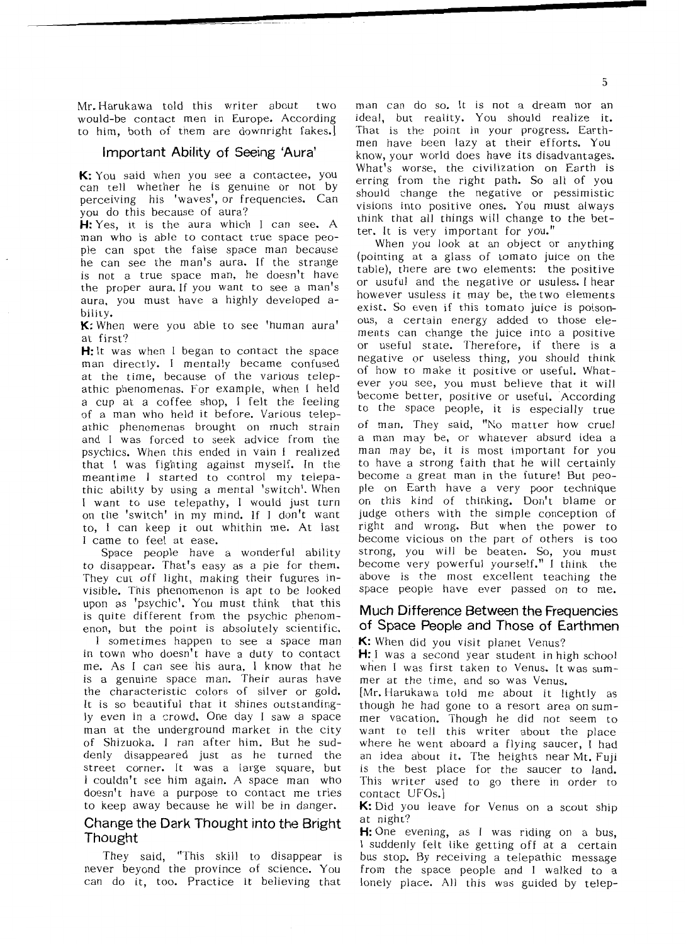Mr. Harukawa told this writer about  $t w<sub>O</sub>$ would-be contact men in Europe. According to him, both of them are downright fakes.]

#### Important Ability of Seeing 'Aura'

K: You said when you see a contactee, you can tell whether he is genuine or not by perceiving his 'waves', or frequencies. Can you do this because of aura?

H: Yes, it is the aura which I can see. A man who is able to contact true space people can spot the false space man because he can see the man's aura. If the strange is not a true space man, he doesn't have the proper aura. If you want to see a man's aura, you must have a highly developed ability.

K: When were you able to see 'human aura' at first?

H: It was when I began to contact the space man directly. I mentally became confused at the time, because of the various telepathic phenomenas. For example, when I held a cup at a coffee shop, I felt the feeling of a man who held it before. Various telepathic phenomenas brought on much strain and I was forced to seek advice from the psychics. When this ended in vain I realized that I was fighting against myself. In the meantime I started to control my telepathic ability by using a mental 'switch'. When I want to use telepathy, I would just turn on the 'switch' in my mind. If I don't want to, I can keep it out whithin me. At last I came to feel at ease.

Space people have a wonderful ability to disappear. That's easy as a pie for them. They cut off light, making their fugures invisible. This phenomenon is apt to be looked upon as 'psychic'. You must think that this is quite different from the psychic phenomenon, but the point is absolutely scientific.

I sometimes happen to see a space man in town who doesn't have a duty to contact me. As I can see his aura, I know that he is a genuine space man. Their auras have the characteristic colors of silver or gold. It is so beautiful that it shines outstandingly even in a crowd. One day I saw a space man at the underground market in the city of Shizuoka. I ran after him. But he suddenly disappeared just as he turned the street corner. It was a large square, but I couldn't see him again. A space man who doesn't have a purpose to contact me tries to keep away because he will be in danger.

#### Change the Dark Thought into the Bright Thought

They said, "This skill to disappear is never beyond the province of science. You can do it, too. Practice it believing that

man can do so. It is not a dream nor an ideal, but reality. You should realize it. That is the point in your progress. Earthmen have been lazy at their efforts. You know, your world does have its disadvantages. What's worse, the civilization on Earth is erring from the right path. So all of you should change the negative or pessimistic visions into positive ones. You must always think that all things will change to the better. It is very important for you."

When you look at an object or anything (pointing at a glass of tomato juice on the table), there are two elements: the positive or usuful and the negative or usuless. I hear however usuless it may be, the two elements exist. So even if this tomato juice is poisonous, a certain energy added to those elements can change the juice into a positive or useful state. Therefore, if there is a negative or useless thing, you should think of how to make it positive or useful. Whatever you see, you must believe that it will become better, positive or useful. According to the space people, it is especially true of man. They said, "No matter how cruel a man may be, or whatever absurd idea a man may be, it is most important for you to have a strong faith that he will certainly become a great man in the future! But people on Earth have a very poor technique on this kind of thinking. Don't blame or judge others with the simple conception of right and wrong. But when the power to become vicious on the part of others is too strong, you will be beaten. So, you must become very powerful yourself." I think the above is the most excellent teaching the space people have ever passed on to me.

#### Much Difference Between the Frequencies of Space People and Those of Earthmen

K: When did you visit planet Venus?

**H:** I was a second year student in high school when I was first taken to Venus. It was summer at the time, and so was Venus.

[Mr. Harukawa told me about it lightly as though he had gone to a resort area on summer vacation. Though he did not seem to want to tell this writer about the place where he went aboard a flying saucer, I had an idea about it. The heights near Mt. Fuji is the best place for the saucer to land. This writer used to go there in order to contact UFOs.

K: Did you leave for Venus on a scout ship at night?

H: One evening, as I was riding on a bus, I suddenly felt like getting off at a certain bus stop. By receiving a telepathic message from the space people and I walked to a lonely place. All this was guided by telep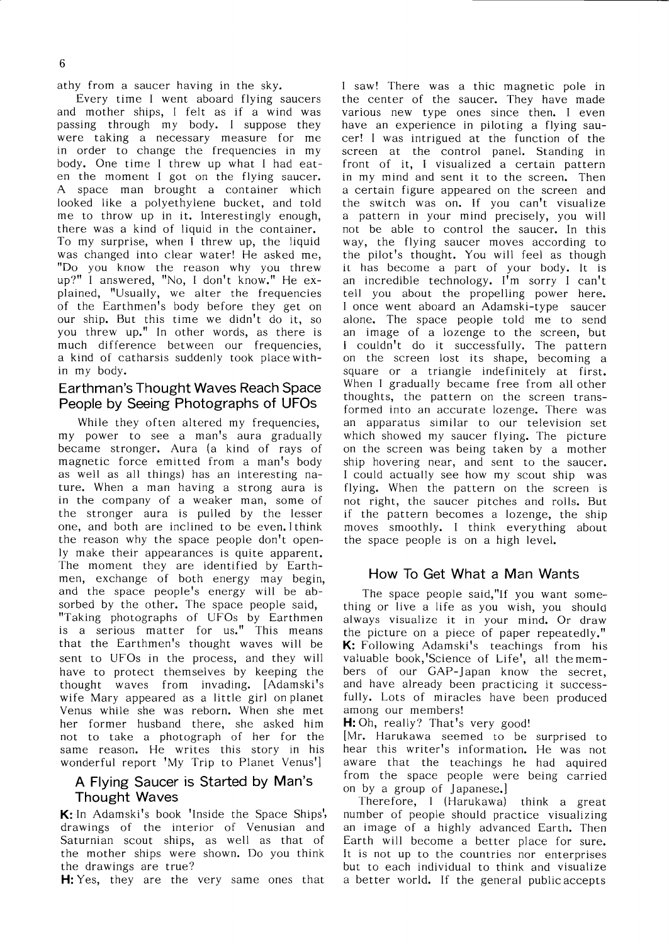athy from a saucer having in the sky.

Every time I went aboard flying saucers and mother ships, I felt as if a wind was passing through my body. I suppose they Were taking a necessary measure for me in order to change the frequencies in my body. One time I threw up what I had eaten the moment I got on the flying saucer. A space man brought a container which looked like a polyethylene bucket, and told me to throw up in it. Interestingly enough, there was a kind of liquid in the container. To my surprise, when I threw up, the liquid was changed into clear water! He asked me, ‖Do you know the reason why you threw up?" I answered, "No, I don't know." He explained, "Usually, we alter the frequencies of the Earthmen's body before they get on our ship. But this time we didn't do it, so you threw up." In other words, as there is much difference between our frequencies, a kind of catharsis suddenly took placewith in my body.

#### Earthman's Thought Waves Reach Space People by Seeing Photographs of UFOs

While they often altered my frequencies, my power to see a man's aura gradually became stronger. Aura (a kind of rays of magnetic force emitted from a man's body as well as all things) has an interesting nature. When a man having a strong aura is in the company of a weaker man, some of the stronger aura is pulled by the lesser one, and both are inclined to be even.Ithink the reason why the space people don't openly make their appearances is quite apparent. The moment they are identified by Earthmen, exchange of both energy may begin, and the space people's energy will be absorbed by the other. The space people said, "Taking photographs of UFOs by Earthmen is a serious matter for us." This means that the Earthmen's thought waves will be sent to UFOs in the process, and they will have to protect themselves by keeping the thought waves from invading. [Adamski's wife Mary appeared as a little girl on planet Venus while she was reborn. When she met her former husband there, she asked him not to take a photograph of her for the same reason. He writes this story in his wonderful report 'My Trip to Planet Venus']

#### A Flying Saucer is Started by Man's Thought Waves

K: In Adamski's book 'Inside the Space Ships', drawings of the interior of Venusian and Saturnian scout ships, as well as that of the mother ships were shown. Do you think the drawings are true?

H: Yes, they are the very same ones that

I saw! There was a thic magnetic pole in the center of the saucer. They have made various new type ones since then. I even have an experience in piloting a flying saucer! I was intrigued at the function of the screen at the control panel. Standing in front of it, I visualized a certain pattern in my mind and sent it to the screen. Then a certain figure appeared on the screen and the switch was on. If you can't visualize a pattern in your mind precisely, you will not be able to control the saucer. In this way, the flying saucer moves according to the pilot's thought. You will feel as though it has become a part of your body. It is an incredible technology. I'm sorry I can't tell you about the propelling power here. I once went aboard an Adamski-type saucer alone. The space people told me to send an image of a lozenge to the screen, but I couldn't do it successfully. The pattern on the screen lost its shape, square or a triangle indefinitely at first. When I gradually became free from all other thoughts, the pattern on the screen transformed into an accurate lozenge. There was an apparatus similar to our television set which showed my saucer flying. The picture On the screen was being taken by a mother ship hovering near, and sent to the saucer. I could actually see how my scout ship was flying. When the pattern on the screen is not right, the saucer pitches and rolls. But if the pattern becomes a lozenge, the ship moves smoothly. I think everything about the space people is on a high level.

#### How To Get What a Man Wants

The space people said,"If you want something or live a life as you wish, you should always visualize it in your mind. Or draw the picture on a piece of paper repeatedly." K: Following Adamski's teachings from his valuable book,'Science of Life', all themembers of our GAP-Japan know the secret, and have already been practicing it successfully. Lots of miracles have been produced among our members!

H: Oh, really? That's very good!

[Mr. Harukawa seemed to be surprised to hear this writer's information. He was not aware that the teachings he had aquired from the space people were being carried on by a group of Japanese.]

Therefore, I (Harukawa) think a great number of people should practice visualizing an image of a highly advanced Earth. Then Earth will become a better place for sure. It is not up to the countries nor enterprises but to each individual to think and visualize a better world. If the general publicaccepts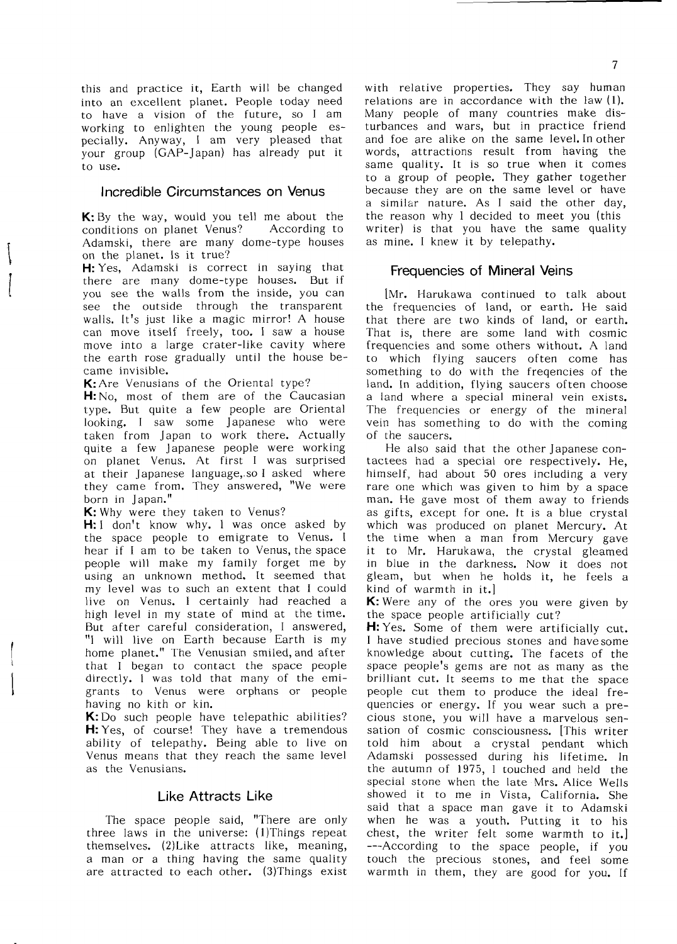this and practice it. Earth will be changed into an excellent planet. People today need to have a vision of the future, so I am working to enlighten the young people es pecially. Anyway, I am very pleased that your group (GAP-Japan) has already put it to use.

#### Incredible Circumstances on Venus

K: By the way, would you tell me about the conditions on planet Venus? According to Adamski, there are many dome-type houses on the planet. Is it true?

H: Yes, Adamski is correct in saying that there are many dome-type houses. But if you see the walls from the inside, you can see the outside through the transparent walls. It's just like a magic mirror! A house can move itself freely, too. I saw a house move into a large crater-like cavity where the earth rose gradually until the house became invisible.

K: Are Venusians of the Oriental type?

H: No, most of them are of the Caucasian type. But quite a few people are Or looking. I saw some Japanese taken from Japan to work there. Actually quite a few Japanese people were working on planet Venus. At first I was surprised at their Japanese language, so I asked where they came from. They answered, "We were born in Japan."

K: Why were they taken to Venus?

H: I don't know why. I was once asked by the space people to emigrate to Venus. I hear if I am to be taken to Venus, the space people will make my family forget me by using an unknown method. It seemed that my level was to such an extent that I could live on Venus. I certainly had reached a high level in my state of mind at the time. But after careful consideration, I answered, "I will live on Earth because Earth is my home planet." The Venusian smiled, and after that I began to contact the space people directly. I was told that many of the emigrants to Venus were orphans or people having no kith or kin.

 $K:$  Do such people have telepathic abilities? H: Yes, of course! They have a tremendous ability of telepathy. Being able to live on Venus means that they reach the same level as the Venusians.

#### Like Attracts Like

The space people said, "There are only three laws in the universe: (1)Things repeat themselves. (2)Like attracts like, meaning, a man or a thing having the same quality are attracted to each other. (3)Things exist with relative properties. They say human relations are in accordance with the law (1). Many people of many countries make dis turbances and wars, but in practice friend and foe are alike on the same level. In other words, attractions result from having the same quality. It is so true when it comes to a group of people.They gather together because they are on the same level or have a similar nature. As I said the other day, the reason why I decided to meet you (this writer) is that you have the same quality as mine. I knew it by telepathy.

#### Frequencies of Mineral Veins

[Mr. Harukawa continued to talk about the frequencies of land, or earth. He said that there are two kinds of land, or earth. That is, there are some land with cosmic frequencies and some others without. A land to which flying saucers often come has SOmething to do with the freqencies of the land. In addition, flying saucers often choose a land where a special mineral vein exists. The frequencies or energy of the mineral Vein has something to do with the coming of the saucers.

He also said that the other Japanese contactees had a special ore respectively. He, himself, had about 50 ores including a very rare one which was given to him by a space man. He gave most of them away to friends as gifts, except for one. It is a blue crystal which was produced on planet Mercury. At the time when a man from Mercury gave it to Mr. Harukawa, the crystal gleamed in blue in the darkness. Now it does not gleam, but when he holds it, he feels a kind of warmth in it.]

**K**: Were any of the ores you were given by the space people artificially cut?

H: Yes. Some of them were artificially cut. I have studied precious stones and havesome knowledge about cutting. The facets of the space people's gems are not as many as the brilliant cut. It seems to me that the space people cut them to produce the ideal frequencies or energy. If you wear such a precious stone, you will have a marvelous sensation of cosmic consciousness. [This writer told him about a crystal pendant which Adamski possessed during his lifetime. In the autumn of 1975, I touched and held the special stone when the late Mrs. Alice Wells showed it to me in Vista, California. She said that a space man gave it to Adamski when he was a youth. Putting it to his chest, the writer felt some warmth to it.] ---According to the space people, if you touch the precious stones, and feel some warmth in them, they are good for you. If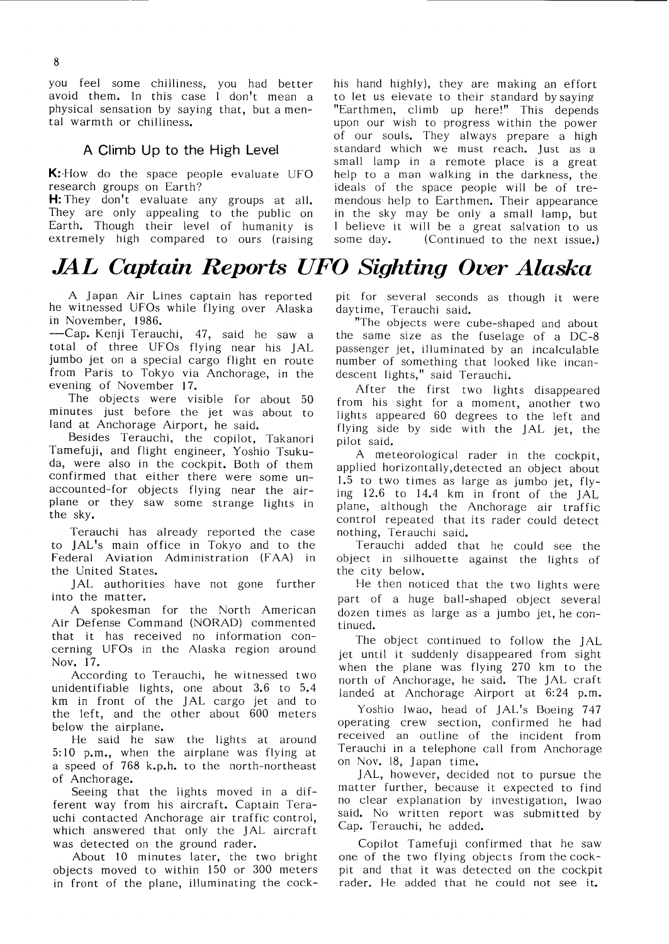you feel some chilliness, you had better avoid them. In this case I don't mean a physical sensation by saying that, but a mental warmth or chilliness.

#### A Climb Up to the High Level

K: How do the space people evaluate UFO research groups on Earth?

H: They don't evaluate any groups at all. They are only appealing to the public on Earth. Though their level of humanity is extremely high compared to ours (raising

### JAL Captain Reports UFO Sighting Over Alaska

A Japan Air Lines captain has reported he witnessed UFOs while flying over Alaska in November,1986.

--Cap. Kenji Terauchi, 47, said he saw a total of three UFOs flying near his JAL jumbo jet on a special cargo flight en route from Paris to Tokyo via Anchorage, in the evening of November 17.

The objects were visible for about 50 minutes just before the jet was about to land at Anchorage Airport, he said.

Besides Terauchi, the copilot, Takanori Tamefuji, and flight engineer, Yoshio Tsukuda, were also in the cockpit. Both of them confirmed that either there were some unaccounted-for objects flying near the air plane or they saw some strange lights in the sky.

Terauchi has already reported the case to JAL's main office in Tokyo and to the Federal Aviation Administration (FAA) in the United States.

JAL authorities have not gone further into the matter.

A spokesman for the North American Air Defense Command (NORAD) commented that it has received no information con cerning UFOs in the Alaska region around Nov.17.

According to Terauchi, he witnessed two unidentifiable lights, one about  $3.6$  to  $5.4$ km in front of the JAL cargo jet and to the left, and the other about 600 meters below the airplane.

He said he saw the lights at around 5:10 p.m., when the airplane was flying at a speed of 768 k.p.h. to the north-northeast of Anchorage.<br>Seeing that the lights moved in a dif-

ferent way from his aircraft. Captain Terauchi contacted Anchorage air traffic control, which answered that only the JAL aircraft was detected on the ground rader.

About 10 minutes later, the two bright objects moved to within 150 or 300 meters in front of the plane, illuminating the cockhis hand highly), they are making an effort to let us elevate to their standard by saying "Earthmen, climb up here!" This depends upon our wish to progress within the power of our souls. They always prepare a high standard which we must reach. Just as a small lamp in a remote place is a great help to a man walking in the darkness, the ideals of the space people will be of tremendous help to Earthmen. Their appearance in the sky may be only a small lamp, but I believe it will be a great salvation to us some day. (Continued to the next issue.)

pit for several seconds as though it were daytime, Terauchi said.

"The objects were cube-Shaped and about the same size as the fuselage of a DC-8 passenger jet, illuminated by an incalculable number of something that looked like incandescent lights," said Terauchi.

After the first two lights disappeared from his sight for a moment, another two lights appeared 60 degrees to the left and flying side by side with the JAL jet, the Pilot said.

A meteorological rader in the cockpit, applied horizontally, detected an object about 1.5 to two times as large as jumbo jet,  $fly$ ing  $12.6$  to  $14.4$  km in front of the JAL plane, although the Anchorage air traffic control repeated that its rader could detect nothing, Terauchi said.

Terauchi added that he could see the object in silhouette against the lights of the city below.

He then noticed that the two lights were part of a huge ball-shaped object several dozen times as large as a jumbo jet, he continued.

The object continued to follow the JAL jet until it suddenly disappeared from sight When the plane was flying 270 km to the north of Anchorage, he said. The JAL craft landed at Anchorage Airport at 6:24 p.m.

Yoshio Iwao, head of JAL's Boeing 747 operating crew section, confirmed he had received an outline of the incident from Terauchi in a telephone call from Anchorage on Nov. 18, Japan time.

JAL, however, decided not to pursue the matter further, because it expected to find no clear explanation by investigation, Iwao said. No written report was submitted by Cap. Terauchi, he added.

Copilot Tamefuji confirmed that he saw One Of the two flylng Objects fromthecock pit and that it was detected on the cockpit rader. He added that he could not see it.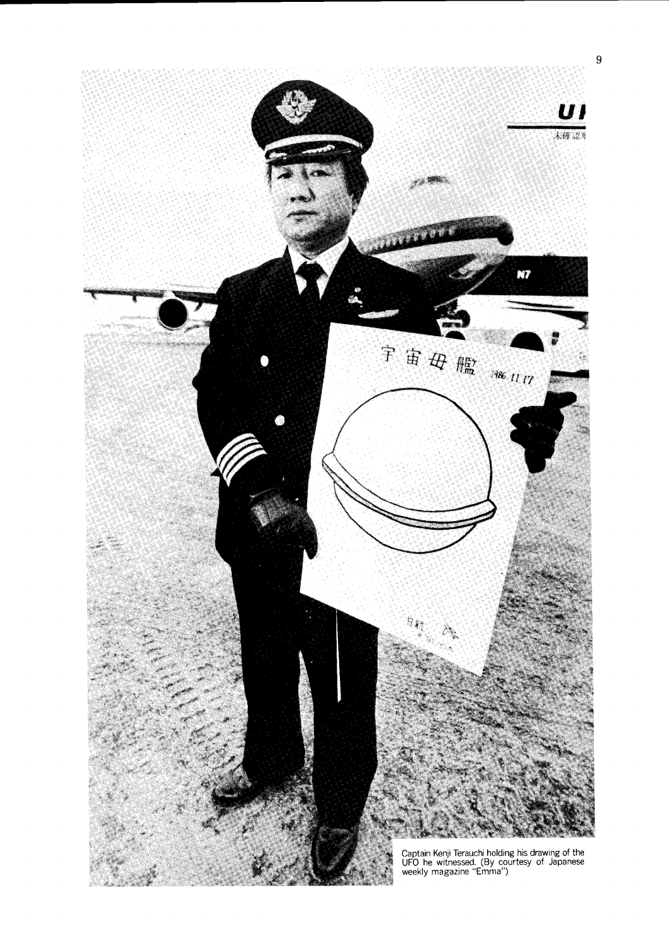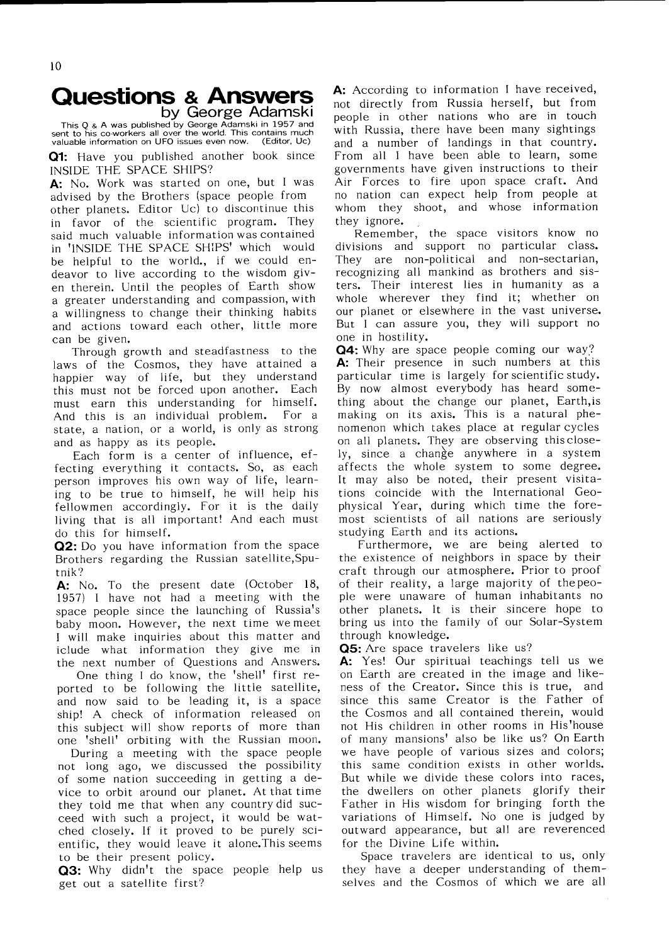### **Questions & Answers**<br>by George Adamski

This Q & A was published by George Adamski in 1957 and<br>
sent to his co-workers all over the world. This contains much<br>
valuable information on UFO issues even now. (Editor, Uc) valuable information on UFO issues even now.

Q1: Have you published another book since INSIDE THE SPACE SHIPS?

A: No. Work was started on one, but I was advised by the Brothers(space people from other planets. Editor Uc) to discontinue this in favor of the scientific program. They said much valuable information was contained in 'INSIDE THE SPACE SHIPS' which would be helpful to the world., if we could endeavor to live according to the wisdom given therein. Until the peoples of Earth show a greater understanding and compassion, with a willingness to change their thinking habits and actions toward each other, little more can be given.

Through growth and steadfastness to the laws of the Cosmos, they have attained a happier way of life, but they understand this must not be forced upon another. Each must earn this understanding for himself. And this is an individual problem. For a state, a nation, or a world, is only as strong and as happy as its people.

Each form is a center of influence, effecting everything it contacts. So, as each person improves his own way of life, learning to be true to himself, he will help his fellowmen accordingly. For it is the daily living that is all important! And each must do this for himself.

Q2: Do you have information from the space Brothers regarding the Russian satellite, Sputnik?

A: No. To the present date (October 18, 1957) I have not had a meeting with the space people since the launching of Russia's baby moon. However, the next time wemeet I will make inquiries about this matter and iclude what information they give me in the next number of Questions and Answers.

One thing I do know, the 'shell' first reported to be following the little satellite, and now said to be leading it, is a space ship! A check of information released on this subject will show reports of more than one 'shell' orbiting with the Russian moon.

During a meeting with the space people not long ago, we discussed the possibility of some nation succeeding in getting a device to orbit around our planet. At that time they told me that when any country did succeed with such a project, it would be watched closely. If it proved to be purely scientific, they would leave it alone. This seems to be their present policy.

Q3: Why didn't the space people help us get out a satellite first?

A: According to information I have received, not directly from Russia herself, but from people in other nations who are in touch with Russia, there have been many sightings and a number of landings in that country. From all I have been able to learn, some governments have given instructions to their Air Forces to fire upon space craft. And no nation can expect help from people at whom they shoot, and whose information they ignore.

Remember, the space visitors know no divisions and support no particular class. They are non-political and non-sectarian, recognizing allmankind as brothers and sis ters. Their interest lies in humanity as a whole wherever they find it; whether on our planet or elsewhere in the vast universe. But I can assure you, they will support no one in hostility.

Q4: Why are space people coming our way? A: Their presence in such numbers at this particular time is largely forscientificstudy. By now almost everybody has heard some thing about the change our planet, Earth, is making on its axis. This is a natural phenomenon which takes place at regular cycles on all planets. They are observing this closely, since a change anywhere in a system affects the whole system to some degree. It may also be noted, their present visitations coincide with the International Geophysical Year, during which time the foremost scientists of all nations are seriously studying Earth and its actions.

Furthermore, we are being alerted to the existence of neighbors in space by their craft through our atmosphere. Prior to proof of their reality, a large majority of the people were unaware of human inhabitants no other planets. It is their sincere hope to bring us into the family of our Solar-System through knowledge.

Q5: Are space travelers like us?

A: Yes! Our spiritual teachings tell us we on Earth are created in the image and likeness of the Creator. Since this is true, and since this same Creator is the Father of the Cosmos and all contained therein, would not His children in other rooms in His'house of many mansions' also be like us? On Earth we have people of various sizes and colors; this same condition exists in other worlds. But while we divide these colors into races, the dwe11ers on other planets glorify their Father in His wisdom for bringing forth the variations of Himself. No one is judged by outward appearance, but all are reverenced for the Divine Life within.

Space travelers are identical to us, only they have a deeper understanding of them selves and the Cosmos of which we are all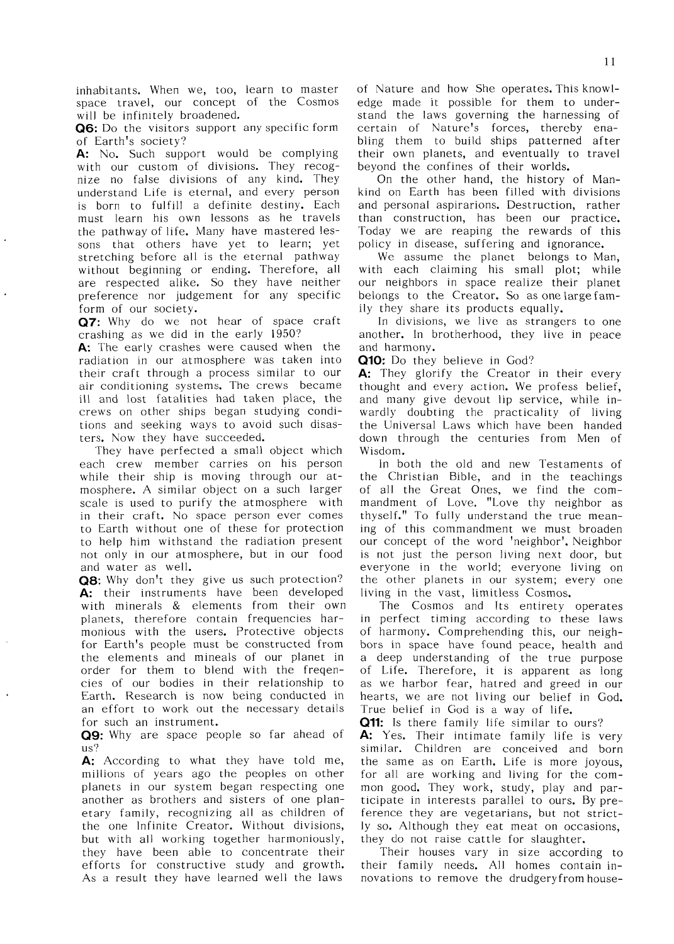inhabitants. When we, too, learn to master space travel, our concept of the Cosmos will be infinitely broadened.

Q6: Do the visitors support any specific form of Earth's society?

A: No. Such support would be complying with our custom of divisions. They recognize no false divisions of any kind. They understand Life is eternal, and every person is born to fulfill a definite destiny. Each must learn his own lessons as he travels the pathway of life. Many have mastered lessons that others have yet to learn; yet stretching before all is the eternal pathway without beginning or ending. Therefore, all are respected alike. So they have neither preference nor judgement for any specific form of our society.

Q7: Why do we not hear of space craft crashing as we did in the early 1950?

A: The early crashes were caused when the radiation in our atmosphere was taken into their craft through a process similar to our air conditioning systems. The crews became ill and lost fatalities had taken place, the crews on other ships began studying conditions and seeking ways to avoid such disasters. Now they have succeeded.

They have perfected a small object which each crew member carries on his person while their ship is moving through our atmosphere. A similar object on a such larger scale is used to purify the atmosphere with in their craft. No space person ever comes to Earth without one of these for protection to help him withstand the radiation present not only in our atmosphere, but in our food and water as well.

Q8: Why don't they give us such protection? A: their instruments have been developed with minerals & elements from their own planets, therefore contain frequencies harmonious with the users. Protective objects for Earth's people must be constructed from the elements and mineals of our planet in order for them to blend with the fregencies of our bodies in their relationship to Earth, Research is now being conducted in an effort to work out the necessary details for such an instrument.

Q9: Why are space people so far ahead of us?

A: According to what they have told me, millions of years ago the peoples on other planets in our system began respecting one another as brothers and sisters of one planetary family, recognizing all as children of the one Infinite Creator. Without divisions, but with all working together harmoniously, they have been able to concentrate their efforts for constructive study and growth. As a result they have learned well the laws

of Nature and how She operates. This knowledge made it possible for them to understand the laws governing the harnessing of certain of Nature's forces, thereby enabling them to build ships patterned after their own planets, and eventually to travel beyond the confines of their worlds.

On the other hand, the history of Mankind on Earth has been filled with divisions and personal aspirarions. Destruction, rather than construction, has been our practice. Today we are reaping the rewards of this policy in disease, suffering and ignorance.

We assume the planet belongs to Man, with each claiming his small plot; while our neighbors in space realize their planet belongs to the Creator. So as one large family they share its products equally.

In divisions, we live as strangers to one another. In brotherhood, they live in peace and harmony.

Q10: Do they believe in God?

A: They glorify the Creator in their every thought and every action. We profess belief, and many give devout lip service, while inwardly doubting the practicality of living the Universal Laws which have been handed down through the centuries from Men of Wisdom.

In both the old and new Testaments of the Christian Bible, and in the teachings of all the Great Ones, we find the commandment of Love. "Love thy neighbor as thyself." To fully understand the true meaning of this commandment we must broaden our concept of the word 'neighbor'. Neighbor is not just the person living next door, but everyone in the world; everyone living on the other planets in our system; every one living in the vast, limitless Cosmos.

The Cosmos and Its entirety operates in perfect timing according to these laws of harmony. Comprehending this, our neighbors in space have found peace, health and a deep understanding of the true purpose of Life. Therefore, it is apparent as long as we harbor fear, hatred and greed in our hearts, we are not living our belief in God. True belief in God is a way of life.

Q11: Is there family life similar to ours?

A: Yes. Their intimate family life is very similar. Children are conceived and born the same as on Earth. Life is more joyous, for all are working and living for the common good. They work, study, play and participate in interests parallel to ours. By preference they are vegetarians, but not strictly so. Although they eat meat on occasions, they do not raise cattle for slaughter.

Their houses vary in size according to their family needs. All homes contain innovations to remove the drudgery from house-